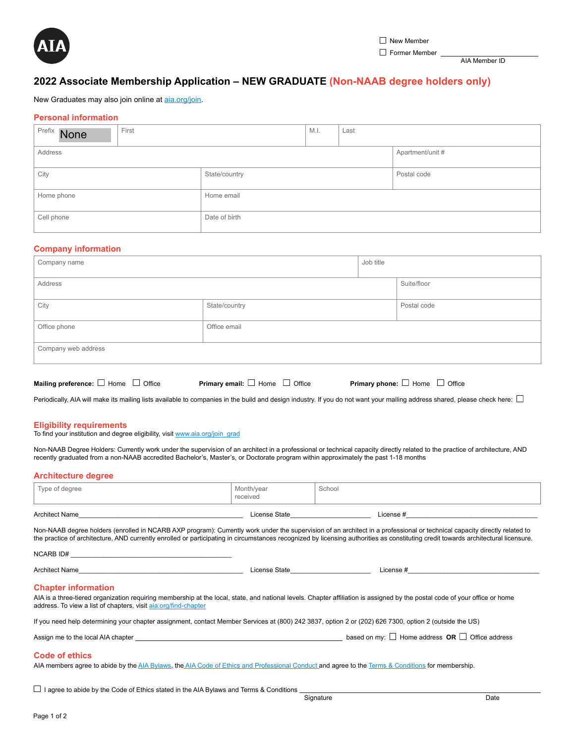

AIA Member ID

# **2022 Associate Membership Application – NEW GRADUATE (Non-NAAB degree holders only)**

New Graduates may also join online at [aia.org/join](http://www.aia.org/join).

# **Personal information**

| Prefix None              | First |               | M.I. | Last |                  |
|--------------------------|-------|---------------|------|------|------------------|
| Address                  |       |               |      |      | Apartment/unit # |
| City                     |       | State/country |      |      | Postal code      |
| Home phone<br>Home email |       |               |      |      |                  |
| Cell phone               |       | Date of birth |      |      |                  |

## **Company information**

| Company name        |               | Job title |             |
|---------------------|---------------|-----------|-------------|
| Address             |               |           | Suite/floor |
| City                | State/country |           | Postal code |
| Office phone        | Office email  |           |             |
| Company web address |               |           |             |

**Mailing preference:**  $\Box$  Home  $\Box$  Office **Primary email:**  $\Box$  Home  $\Box$  Office **Primary phone:**  $\Box$  Home  $\Box$  Office

Periodically, AIA will make its mailing lists available to companies in the build and design industry. If you do not want your mailing address shared, please check here:  $\Box$ 

#### **Eligibility requirements**

To find your institution and degree eligibility, visit [www.aia.org/join\\_grad](http://www.aia.org/join_grad)

Non-NAAB Degree Holders: Currently work under the supervision of an architect in a professional or technical capacity directly related to the practice of architecture, AND recently graduated from a non-NAAB accredited Bachelor's, Master's, or Doctorate program within approximately the past 1-18 months

### **Architecture degree**

| <b>Architect Name</b> | License State          | $\mathsf{\mathsf{\scriptstyle License}}$ # |  |
|-----------------------|------------------------|--------------------------------------------|--|
| Type of degree        | Month/year<br>received | School                                     |  |

Non-NAAB degree holders (enrolled in NCARB AXP program): Currently work under the supervision of an architect in a professional or technical capacity directly related to the practice of architecture, AND currently enrolled or participating in circumstances recognized by licensing authorities as constituting credit towards architectural licensure.

| $NCARB$ $ID#$                                                                                                                                                                                                                                                                |                                 |                                                                                                                 |
|------------------------------------------------------------------------------------------------------------------------------------------------------------------------------------------------------------------------------------------------------------------------------|---------------------------------|-----------------------------------------------------------------------------------------------------------------|
| Architect Name <b>Architect</b> Name                                                                                                                                                                                                                                         | License State <b>Example 20</b> | License # 2008 and 2008 and 2008 and 2008 and 2008 and 2008 and 2008 and 2008 and 2008 and 2008 and 2008 and 20 |
| <b>Chapter information</b><br>AIA is a three-tiered organization requiring membership at the local, state, and national levels. Chapter affiliation is assigned by the postal code of your office or home<br>address. To view a list of chapters, visit aia.org/find-chapter |                                 |                                                                                                                 |
| If you need help determining your chapter assignment, contact Member Services at (800) 242 3837, option 2 or (202) 626 7300, option 2 (outside the US)                                                                                                                       |                                 |                                                                                                                 |
| Assign me to the local AIA chapter <b>Example 20</b> Section 1 and 20 Section 1 and 20 Section 1 and 20 Section 1 and 20 Section 1 and 20 Section 1 and 20 Section 1 and 20 Section 1 and 20 Section 1 and 20 Section 1 and 20 Sect                                          |                                 | based on my: $\Box$ Home address OR $\Box$ Office address                                                       |
| Code of ethics<br>AIA members agree to abide by the AIA Bylaws, the AIA Code of Ethics and Professional Conduct and agree to the Terms & Conditions for membership.                                                                                                          |                                 |                                                                                                                 |
|                                                                                                                                                                                                                                                                              |                                 |                                                                                                                 |

 $\Box$  I agree to abide by the Code of Ethics stated in the AIA Bylaws and Terms & Conditions Signature the Contract of Signature and Date of the Date of the Date of the Date of the Date of the Date of the Date of the Date of the Date of the Date of the Date of the Date of the Date of the Date of the Date of the Da